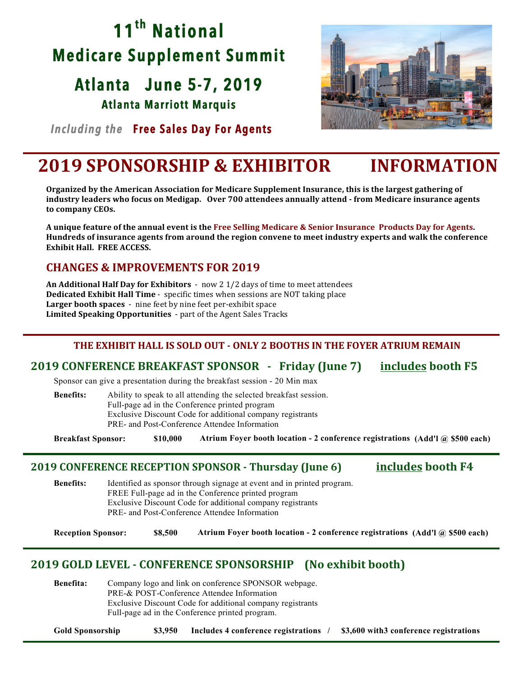# **11th National Medicare Supplement Summit**

# **Atlanta June 5-7, 2019**

**Atlanta Marriott Marquis** 



 *Including the* **Free Sales Day For Agents** 

## **2019 SPONSORSHIP & EXHIBITOR INFORMATION**

**Organized by the American Association for Medicare Supplement Insurance, this is the largest gathering of industry leaders who focus on Medigap.** Over 700 attendees annually attend - from Medicare insurance agents to company CEOs.

A unique feature of the annual event is the Free Selling Medicare & Senior Insurance Products Day for Agents. Hundreds of insurance agents from around the region convene to meet industry experts and walk the conference **Exhibit Hall. FREE ACCESS.** 

## **CHANGES & IMPROVEMENTS FOR 2019**

**An Additional Half Day for Exhibitors** - now 2 1/2 days of time to meet attendees **Dedicated Exhibit Hall Time** - specific times when sessions are NOT taking place **Larger booth spaces** - nine feet by nine feet per-exhibit space Limited Speaking Opportunities - part of the Agent Sales Tracks

### **THE EXHIBIT HALL IS SOLD OUT - ONLY 2 BOOTHS IN THE FOYER ATRIUM REMAIN**

### **2019 CONFERENCE BREAKFAST SPONSOR - Friday (June 7) includes booth F5**

Sponsor can give a presentation during the breakfast session - 20 Min max

**Benefits:** Ability to speak to all attending the selected breakfast session. Full-page ad in the Conference printed program Exclusive Discount Code for additional company registrants PRE- and Post-Conference Attendee Information

**Breakfast Sponsor: \$10,000 Atrium Foyer booth location - 2 conference registrations (Add'l @ \$500 each)**

### **2019 CONFERENCE RECEPTION SPONSOR - Thursday (June 6) includes booth F4**

**Benefits:** Identified as sponsor through signage at event and in printed program. FREE Full-page ad in the Conference printed program Exclusive Discount Code for additional company registrants PRE- and Post-Conference Attendee Information

**Reception Sponsor: \$8,500 Atrium Foyer booth location - 2 conference registrations (Add'l @ \$500 each)**

## **2019 GOLD LEVEL - CONFERENCE SPONSORSHIP** (No exhibit booth)

**Benefita:** Company logo and link on conference SPONSOR webpage. PRE-& POST-Conference Attendee Information Exclusive Discount Code for additional company registrants Full-page ad in the Conference printed program.

**Gold Sponsorship \$3,950 Includes 4 conference registrations / \$3,600 with3 conference registrations**